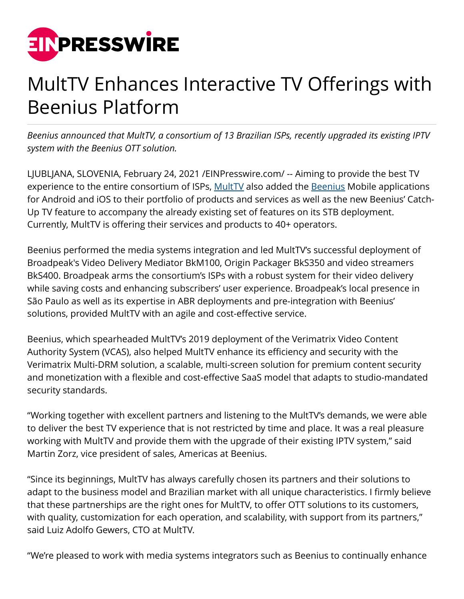

# MultTV Enhances Interactive TV Offerings with Beenius Platform

*Beenius announced that MultTV, a consortium of 13 Brazilian ISPs, recently upgraded its existing IPTV system with the Beenius OTT solution.*

LJUBLJANA, SLOVENIA, February 24, 2021 [/EINPresswire.com](http://www.einpresswire.com)/ -- Aiming to provide the best TV experience to the entire consortium of ISPs, [MultTV](http://www.multtv.com.br/) also added the [Beenius](https://www.beenius.tv/) Mobile applications for Android and iOS to their portfolio of products and services as well as the new Beenius' Catch-Up TV feature to accompany the already existing set of features on its STB deployment. Currently, MultTV is offering their services and products to 40+ operators.

Beenius performed the media systems integration and led MultTV's successful deployment of Broadpeak's Video Delivery Mediator BkM100, Origin Packager BkS350 and video streamers BkS400. Broadpeak arms the consortium's ISPs with a robust system for their video delivery while saving costs and enhancing subscribers' user experience. Broadpeak's local presence in São Paulo as well as its expertise in ABR deployments and pre-integration with Beenius' solutions, provided MultTV with an agile and cost-effective service.

Beenius, which spearheaded MultTV's 2019 deployment of the Verimatrix Video Content Authority System (VCAS), also helped MultTV enhance its efficiency and security with the Verimatrix Multi-DRM solution, a scalable, multi-screen solution for premium content security and monetization with a flexible and cost-effective SaaS model that adapts to studio-mandated security standards.

"Working together with excellent partners and listening to the MultTV's demands, we were able to deliver the best TV experience that is not restricted by time and place. It was a real pleasure working with MultTV and provide them with the upgrade of their existing IPTV system," said Martin Zorz, vice president of sales, Americas at Beenius.

"Since its beginnings, MultTV has always carefully chosen its partners and their solutions to adapt to the business model and Brazilian market with all unique characteristics. I firmly believe that these partnerships are the right ones for MultTV, to offer OTT solutions to its customers, with quality, customization for each operation, and scalability, with support from its partners," said Luiz Adolfo Gewers, CTO at MultTV.

"We're pleased to work with media systems integrators such as Beenius to continually enhance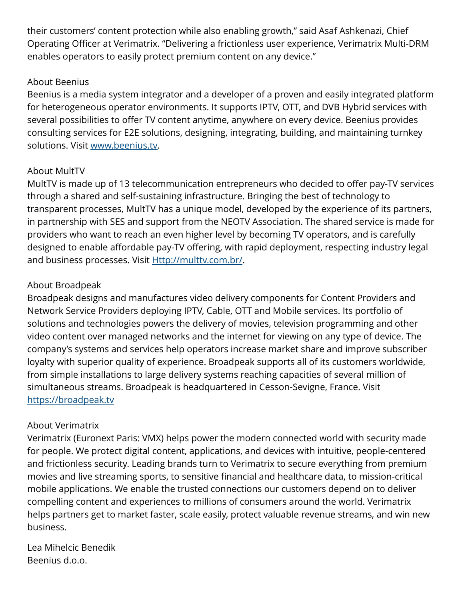their customers' content protection while also enabling growth," said Asaf Ashkenazi, Chief Operating Officer at Verimatrix. "Delivering a frictionless user experience, Verimatrix Multi-DRM enables operators to easily protect premium content on any device."

### About Beenius

Beenius is a media system integrator and a developer of a proven and easily integrated platform for heterogeneous operator environments. It supports IPTV, OTT, and DVB Hybrid services with several possibilities to offer TV content anytime, anywhere on every device. Beenius provides consulting services for E2E solutions, designing, integrating, building, and maintaining turnkey solutions. Visit [www.beenius.tv.](http://www.beenius.tv)

## About MultTV

MultTV is made up of 13 telecommunication entrepreneurs who decided to offer pay-TV services through a shared and self-sustaining infrastructure. Bringing the best of technology to transparent processes, MultTV has a unique model, developed by the experience of its partners, in partnership with SES and support from the NEOTV Association. The shared service is made for providers who want to reach an even higher level by becoming TV operators, and is carefully designed to enable affordable pay-TV offering, with rapid deployment, respecting industry legal and business processes. Visit **<Http://multtv.com.br/>**.

## About Broadpeak

Broadpeak designs and manufactures video delivery components for Content Providers and Network Service Providers deploying IPTV, Cable, OTT and Mobile services. Its portfolio of solutions and technologies powers the delivery of movies, television programming and other video content over managed networks and the internet for viewing on any type of device. The company's systems and services help operators increase market share and improve subscriber loyalty with superior quality of experience. Broadpeak supports all of its customers worldwide, from simple installations to large delivery systems reaching capacities of several million of simultaneous streams. Broadpeak is headquartered in Cesson-Sevigne, France. Visit <https://broadpeak.tv>

## About Verimatrix

Verimatrix (Euronext Paris: VMX) helps power the modern connected world with security made for people. We protect digital content, applications, and devices with intuitive, people-centered and frictionless security. Leading brands turn to Verimatrix to secure everything from premium movies and live streaming sports, to sensitive financial and healthcare data, to mission-critical mobile applications. We enable the trusted connections our customers depend on to deliver compelling content and experiences to millions of consumers around the world. Verimatrix helps partners get to market faster, scale easily, protect valuable revenue streams, and win new business.

Lea Mihelcic Benedik Beenius d.o.o.